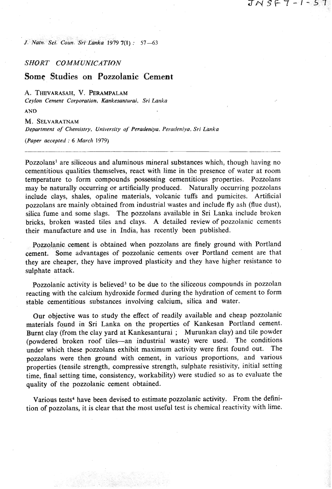*J. Natn. Sci. Corin. Sri Lanka* **1979 711)** : **57-63** 

#### SHORT **COMMUNICATION**

# **Some Studies on Pozzolanic Cement**

A. THEVARASAH, V. PERAMPALAM

*Ceylon Cement Corporarion. Kankesanturai, Sri Lankn* 

*AND* 

*M.* **SELVARATNAM**  *Department of Chemistry, University of Peradeniya, Perndeniya, Sri Lanka* 

*(Paper accepted* : *6 Marc11* **1979)** 

Pozzolans<sup>1</sup> are siliceous and aluminous mineral substances which, though having no cementitious qualities themselves, react with lime in the presence of water at room temperature to form compounds possessing cementitious properties. Pozzolans may be naturally occurring or artificially produced. Naturally occurring pozzolans include clays, shales, opaline materials, volcanic tuffs and pumicites. Artificial pozzolans are mainly obtained from industrial wastes and include fly ash (flue dust), silica fume and some slags. The pozzolans available in Sri Lanka include broken bricks, broken wasted tiles and clays. A detailed review of pozzolanic cements their manufacture and use in India, has recently been published.

J N S F 7 - I - 5 7

Pozzolanic cement is obtained when pozzolans are finely ground with Portland cement. Some advantages of pozzolanic cements over Portland cement are that they are cheaper, they have improved plasticity and they have higher resistance to sulphate attack.

Pozzolanic activity is believed<sup>3</sup> to be due to the siliceous compounds in pozzolan reacting with the calcium hydroxide formed during the hydration of cement to form stable cementitious substances involving calcium, silica and water.

Our objective was to study the effect of readily available and cheap pozzolanic materials found in Sri Lanka on the properties of Kankesan Portland cement. Burnt clay (from the clay yard at Kankesanturai ; Murunkan clay) and tile powder (powdered broken roof tiles-an industrial waste) were used. The conditions under which these pozzolans exhibit maximum activity were first found out. The pozzolans were then ground with cement, in various proportions, and various properties (tensile strength, compressive strength, sulphate resistivity, initial setting time, final setting time, consistency, workability) were studied so as to evaluate the quality af the pozzolanic cement obtained.

Various tests<sup>4</sup> have been devised to estimate pozzolanic activity. From the definition of pozzolans, it is clear that the most useful test is chemical reactivity with lime.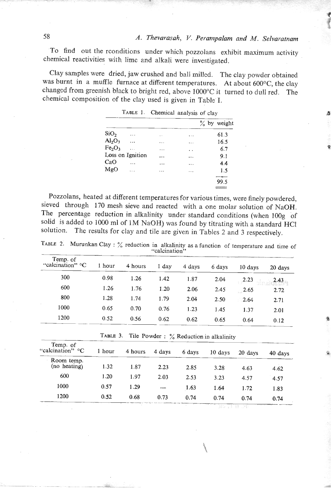'To find out the rconditions under which pozzolans exhibit maximum activity chemical reactivities with lime and alkali were investigated.

Clay samples were dried, jaw crushed and ball milled. The clay powder obtained was burnt in a muffle furnace at different temperatures. At about *600°C,* the clay changed from greenish black to bright red, above 1000°C it turned to dull red. The chemical composition of tbe clay used is given in Table' I.

|                                |                  |           |           | $\%$ by weight |
|--------------------------------|------------------|-----------|-----------|----------------|
| SiO <sub>2</sub>               | .                | μ.        | $\ddotsc$ | 61.3           |
| $\text{Al}_2\text{O}_3$        | .                | $\cdots$  | $\cdots$  | 16.5           |
| Fe <sub>2</sub> O <sub>3</sub> | $\mathbf{r}$     | .         | . .       | 6.7            |
|                                | Loss on Ignition | $\cdots$  | $\cdots$  | 9.1            |
| CaO                            | .                | .         | $\cdots$  | 4.4            |
| MgO                            | .                | $\ddotsc$ | $\cdots$  | 1.5            |
|                                |                  |           |           |                |
|                                |                  |           |           | 99.5           |
|                                |                  |           |           |                |

| TABLE 1. |                           |  |
|----------|---------------------------|--|
|          | Chemical analysis of clay |  |

Pozzolans, heated at different temperatures for various times, were finely powdered, sieved through 170 mesh sieve and reacted with a one molar solution of NaOH. The percentage reduction in alkalinity under standard conditions (when 100g of solid is added to 1000 ml of 1M NaOH) was found by titrating with a standard HCl solution. The results for clay and tile are given in Tables 2 and **3** respectively.

TABLE 2. Murunkan Clay :  $\frac{6}{10}$  reduction in alkalinity as a function of temperature and time of  $\frac{1}{2}$ 

| Temp. of<br>"calcination" $\mathrm{C}$ | 1 hour | 4 hours | 1 day | 4 days | 6 days | 10 days | 20 days |
|----------------------------------------|--------|---------|-------|--------|--------|---------|---------|
| 300                                    | 0.98   | 1.26    | 1.42  | 1.87   | 2.04   | 2.23    | 2.43    |
| 600                                    | 1.26   | 1.76    | 1.20  | 2.06   | 2.45   | 2.65    | 2.72    |
| 800                                    | 1.28   | 1.74    | 1.79  | 2.04   | 2.50   | 2.64    | 2.71    |
| 1000                                   | 0.65   | 0.70    | 0.76  | 1.23   | 1.45   | 1.37    | 2.01    |
| 1200                                   | 0.52   | 0.56    | 0.62  | 0.62   | 0.65   | 0.64    | 0.12    |

|  |  |  |  |  |  | TABLE 3. Tile Powder: $\%$ Reduction in alkalinity |  |  |  |
|--|--|--|--|--|--|----------------------------------------------------|--|--|--|
|--|--|--|--|--|--|----------------------------------------------------|--|--|--|

|                              |        |         |        |        |                                                 | <b>v</b> .v | $V \cdot L$ |
|------------------------------|--------|---------|--------|--------|-------------------------------------------------|-------------|-------------|
|                              |        |         |        |        | TABLE 3. Tile Powder: % Reduction in alkalinity |             |             |
| Temp. of<br>"calcination" °C | 1 hour | 4 hours | 4 days | 6 days | 10 days                                         | 20 days     | 40 days     |
| Room temp.<br>(no heating)   | 1.32   | 1.87    | 2.23   | 2.85   | 3.28                                            | 4.63        | 4.62        |
| 600                          | 1.20   | 1.97    | 2.03   | 2.53   | 3.23                                            | 4.57        | 4.57        |
| 1000                         | 0.57   | 1.29    |        | 1.63   | 1.64                                            | 1.72        | 1.83        |
| 1200                         | 0.52   | 0.68    | 0.73   | 0.74   | 0.74                                            | 0.74        | 0.74        |
|                              |        |         |        |        |                                                 |             |             |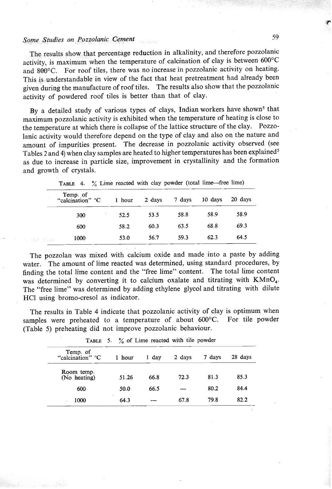### **Some Studies on Pozzolanic Cement**

The results show that percentage reduction in alkalinity, and therefore pozzolanic activity, is maximum when the temperature of calcination of clay is between 600°C and **8Q0°C.** For roof tiles, there was no increase in pozzolanic activity on heating. This is understandable in view of the fact that heat pretreatment had already been given during the manufacture of roof tiles. The results also show that the pozzolanic activity of powdered roof tiles is better than that of clay.

By a detailed study of various types of clays, Indian workers have shown<sup>5</sup> that maximum pozzolanic activity is exhibited when the temperature of heating is close to the temperature at which there is collapse of the lattice structure of the clay. Pozzolanic activity would therefore depend on the type of clay and also on the nature and amount of impurities present. The decrease in pozzolanic activity observed (see Tables **2** and **4)** when clay samples are heated to higher temperatures has been explained5 as due to increase in particle size, improvement in crystallinity and the formation and growth of crystals.

|      | Temp. of<br>"calcination" °C | 1 hour | 2 days | 7 days | 10 days | 20 days |
|------|------------------------------|--------|--------|--------|---------|---------|
|      | 300                          | 52.5   | 53.5   | 58.8   | 58.9    | 58.9    |
|      | 600                          | 58.2   | 60.3   | 63.5   | 68.8    | 69.3    |
| 7145 | 1000                         | 53.0   | 56.7   | 59.3   | 62.3    | 64.5    |

TABLE 4.  $\%$  Lime reacted with clay powder (total lime-free lime)

The pozzolan was mixed with calcium oxide and made into a paste by adding water. The amount of lime reacted was determined, using standard procedures, by finding the total lime content and the "free lime" content. The total lime content was determined by converting it to calcium oxalate and titrating with KMnO<sub>4</sub>. The "free lime" was determined by adding ethylene glycol and titrating with dilute HC1 using bromo-cresol as indicator.

The results in Table 4 indicate that pozzolanic activity of clay is optimum when samples were preheated to a temperature of about 600°C. For tile powder (Table 5) preheating did not improve pozzolanic behaviour.

| IADLE J.<br>$\alpha$ of Lane reactor with the power. |        |       |        |        |         |  |  |  |
|------------------------------------------------------|--------|-------|--------|--------|---------|--|--|--|
| Temp. of<br>"calcination" °C                         | 1 hour | 1 day | 2 days | 7 days | 28 days |  |  |  |
| Room temp.<br>(No heating)                           | 51.26  | 66.8  | 72.3   | 81.3   | 85.3    |  |  |  |
| 600                                                  | 50.0   | 66.5  | مسدد   | 80.2   | 84.4    |  |  |  |
| 1000                                                 | 64.3   |       | 67.8   | 79.8   | 82.2    |  |  |  |

 $%$  of Lime reacted with tile powder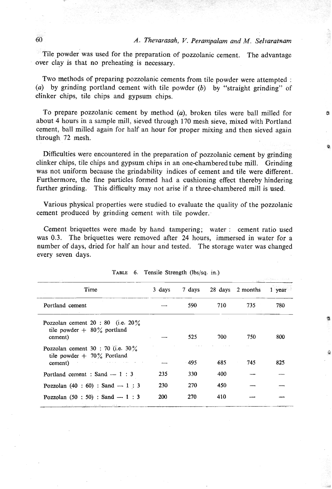### *A. Thevarasah, V. Perampalam and M. Selvaratnam*

ń

 $\sigma$ Tile powder was used for the preparation of pozzolanic cement. The advantage over day is that no preheating is necessary.

Two methods of preparing pozzolanic cements from tile powder were attempted : **(a)** by grinding portland cement with tile powder *(b)* by "straight grinding" of clinker chips, tile chips and gypsum chips.

To prepare pozzolanic cement by method **(a),** broken tiles were ball milled for about 4 hours in a sample mill, sieved through 170 mesh sieve, mixed with Portland cement, ball milled again for half an hour for proper mixing and then sieved again through 72 mesh.

Difficulties were encountered in the preparation of pozzolanic cement by grinding clinker chips, tile chips and gypsum chips in an one-chambered tube **mill.** Grinding was not uniform because the grindability indices of cement and tile were different. Furthermore, the fine particles formed had a cushioning effect thereby hindering further grinding. This difficulty may not arise if a three-chambered mill is used.

Various physical properties were studied. to evaluate the quality of the pozzolanic cement produced by grinding cement with tile powder..

Cement briquettes were made by hand tampering; water : cement ratio used was **0.3.** The briquettes were removed after **24** hours, immersed in water for a number of days, dried for half **an** hour and tested. The storage water was changed every seven days.

| every seven days.<br>TABLE 6. Tensile Strength (lbs/sq. in.)                      |        |        |     |                  |          |
|-----------------------------------------------------------------------------------|--------|--------|-----|------------------|----------|
| Time                                                                              | 3 days | 7 days |     | 28 days 2 months | $1$ year |
| Portland cement                                                                   |        | 590    | 710 | 735              | 780      |
| Pozzolan cement $20:80$ (i.e. $20\%$ )<br>tile powder $+$ 80% portland<br>cement) |        | 525    | 700 | 750              | 800      |
| Pozzolan cement 30 : 70 (i.e. $30\%$<br>tile powder $+ 70\%$ Portland<br>cement)  |        | $-495$ | 685 | 745              | 825      |
| Portland cement : Sand $-1$ : 3                                                   | 235    | 330    | 400 |                  |          |
| Pozzolan $(40 : 60) :$ Sand $-1 : 3$                                              | 230    | 270    | 450 |                  |          |
| Pozzolan $(50 : 50) :$ Sand $-1 : 3$                                              | 200    | 270    | 410 |                  |          |

| TABLE 6. Tensile Strength (lbs/sq. in.) |  |  |  |
|-----------------------------------------|--|--|--|
|-----------------------------------------|--|--|--|

60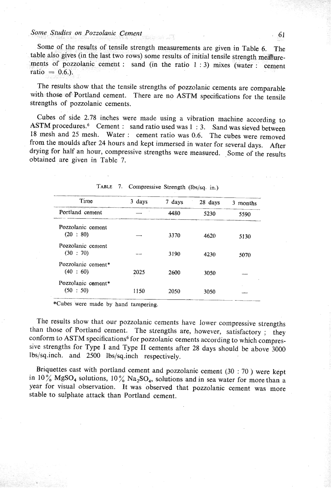### *Soine Studies on Pozzotanic* **Cement 61**

Some of the results of tensile strength measurements are given in Table **6.** The table also gives (in the last two rows) some results of initial tensile strength mea ure-'ments of pozzolanic cement : sand (in the ratio **1** : **3)** mixes (water : cement ratio  $= 0.6$ .).

The results show that the tensile strengths of pozzolanic cements are comparable with those of Portland cement. There are no ASTM specifications for the tensile strengths of pozzolanic cements.

Cubes of side 2.78 inches were made using a vibration machine according to ASTM procedures.<sup>6</sup> Cement : sand ratio used was 1 : 3. Sand was sieved between 18 mesh and 25 mesh. Water : cement ratio was *0.6.* The cubes were removed from the moulds after 24 hours and kept immersed in water for several days. After drying for half an hour, compressive strengths were measured. Some of the results obtained are given in Table 7.

|                    |        | TABLE 7. Compressive Strength (lbs/sq. in.) |         |          |
|--------------------|--------|---------------------------------------------|---------|----------|
| Time               | 3 days | 7 days                                      | 28 days | 3 months |
| Portland cement    |        | 4480                                        | 5230    | 5590     |
| Pozzolanic cement  |        |                                             |         |          |
| (20:80)            |        | 3370                                        | 4620    | 5130     |
| Pozzolanic cement  |        |                                             |         |          |
| (30 : 70)          |        | 3190                                        | 4230    | 5070     |
| Pozzolanic cement* |        |                                             |         |          |
| (40 : 60)          | 2025   | 2600                                        | 3050    |          |
| Pozzolanic coment* |        |                                             |         |          |
| (50 : 50)          | 1150   | 2050                                        | 3050    |          |

**\*Cubes were made** by **hand tampering.** 

The results show that our pozzolanic cements have lower compressive strengths than those of Portland cement. The strengths are, however, satisfactory ; they conform to ASTM specifications<sup>6</sup> for pozzolanic cements according to which compressive strengths for Type I and Type **I1** cements after 28 days should be above 3000 lbs/sq.inch. and 2500 lbs/sq.inch respectively.

Briquettes cast with portland cement and pozzolanic cement (30 : 70 ) were kept in 10% MgSO<sub>4</sub> solutions, 10% Na<sub>2</sub>SO<sub>4</sub>, solutions and in sea water for more than a year for visual observation. It was observed that pozzolanic cement was more stable to sulphate attack than Portland cement.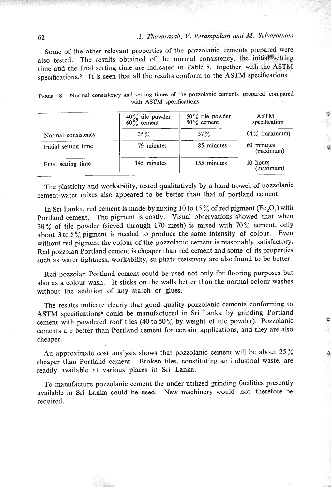# 62 *A. Thevarasah, V. Perampalam and M. Selvaratnarn*

Some of the other relevant properties of the pozzolanic cements prepared were also tested. The results obtained of the normal consistency, the initial<sup>®</sup>setting time and the final setting time are indicated in Table 8, together with the ASTM specifications.<sup>6</sup> It is seen that all the results conform to the ASTM specifications.

|                      | $40\%$ tile powder<br>$60\%$ cement | $50\%$ tile powder<br>$50\%$ cement | <b>ASTM</b><br>specification |  |
|----------------------|-------------------------------------|-------------------------------------|------------------------------|--|
| Normal consistency   | $35\%$                              | $37\%$                              | $64\%$ (maximum)             |  |
| Initial setting time | 79 minutes                          | 85 minutes                          | 60 minutes<br>(maximum)      |  |
| Final setting time   | 145 minutes                         | 155 minutes                         | 10 hours<br>(maximum)        |  |

|  | TABLE 8. Normal consistency and setting times of the pozzolanic cements prepared compared |             |  |
|--|-------------------------------------------------------------------------------------------|-------------|--|
|  | with ASTM specifications.                                                                 |             |  |
|  | $100/$ tile nougher $50%$ tile nougher                                                    | <b>ASTM</b> |  |

The plasticity and workability, tested qualitatively by a hand trowel, of pozzolanic cement-water mixes also appeared to be better than that of portland cement.

In Sri Lanka, red cement is made by mixing 10 to 15% of red pigment (Fe<sub>2</sub>O<sub>3</sub>) with Portland cement. The pigment is costly. Visual observations showed that when **30** % of tile powder (sieved through 170 mesh) is mixed with 70 % cement, only about **3** to 5 % pigment is needed to produce the same intensity of colour. Even without red pigment the colour of the pozzolanic cement is reasonably satisfactory. Red pozzolan Portland cement is cheaper than red cement and some of its properties such as water tightness, workability, sulphate resistivity are also found to be better.

Red pozzolan Portland cement could be used not only for flooring purposes but also as a colour wash. It sticks on the walls better than the normal colour washes without the addition of any starch or glues.

The results indicate clearly that good quality pozzolanic cements conforming to ASTM specifications<sup>6</sup> could be manufactured in Sri Lanka by grinding Portland cement with powdered roof tiles (40 to 50% by weight of tile powder). Pozzolanic cements are better than Portland cement for certain applications, and they are also cheaper.

An approximate cost analysis shows that pozzolanic cement will be about  $25\%$ cheaper than Portland cement. Broken tiles, constituting an industrial waste, are readily available at various places in Sri Lanka.

To manufacture pozzolanic cement the under-utilized grinding facilities presently available in Sri Lanka could be used. New machinery would not therefore be required.